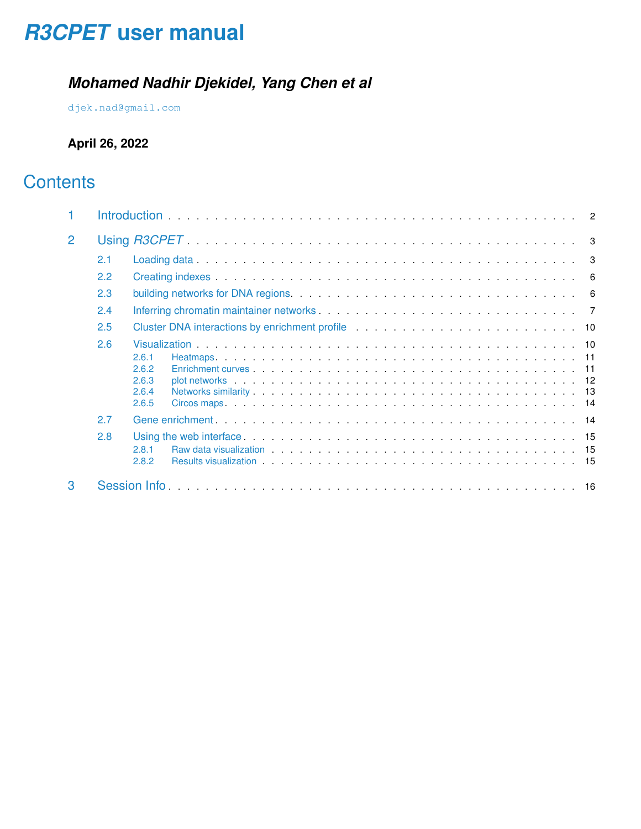# *[R3CPET](http://bioconductor.org/packages/R3CPET)* **user manual**

## *Mohamed Nadhir Djekidel, Yang Chen et al*

[djek.nad@gmail.com](mailto:djek.nad@gmail.com)

## **April 26, 2022**

## **Contents**

| $\overline{2}$ |     |                                                                                                                                                                                                                                                                                                                                                                                                                                                                                                                                                                                                                                                                                                                      |  |  |  |  |  |  |  |
|----------------|-----|----------------------------------------------------------------------------------------------------------------------------------------------------------------------------------------------------------------------------------------------------------------------------------------------------------------------------------------------------------------------------------------------------------------------------------------------------------------------------------------------------------------------------------------------------------------------------------------------------------------------------------------------------------------------------------------------------------------------|--|--|--|--|--|--|--|
|                | 2.1 |                                                                                                                                                                                                                                                                                                                                                                                                                                                                                                                                                                                                                                                                                                                      |  |  |  |  |  |  |  |
|                | 2.2 |                                                                                                                                                                                                                                                                                                                                                                                                                                                                                                                                                                                                                                                                                                                      |  |  |  |  |  |  |  |
|                | 2.3 |                                                                                                                                                                                                                                                                                                                                                                                                                                                                                                                                                                                                                                                                                                                      |  |  |  |  |  |  |  |
|                | 2.4 |                                                                                                                                                                                                                                                                                                                                                                                                                                                                                                                                                                                                                                                                                                                      |  |  |  |  |  |  |  |
|                | 2.5 | Cluster DNA interactions by enrichment profile enterprise on the contract of the Cluster DNA interactions by enrichment profile enterprise on the contract of the Cluster of the Cluster of the Cluster of the Cluster of the                                                                                                                                                                                                                                                                                                                                                                                                                                                                                        |  |  |  |  |  |  |  |
|                | 2.6 |                                                                                                                                                                                                                                                                                                                                                                                                                                                                                                                                                                                                                                                                                                                      |  |  |  |  |  |  |  |
|                |     | 2.6.1<br>2.6.2<br>2.6.3<br>2.6.4<br>2.6.5                                                                                                                                                                                                                                                                                                                                                                                                                                                                                                                                                                                                                                                                            |  |  |  |  |  |  |  |
|                | 2.7 |                                                                                                                                                                                                                                                                                                                                                                                                                                                                                                                                                                                                                                                                                                                      |  |  |  |  |  |  |  |
|                | 2.8 | Using the web interface entertainment is a series of the series of the series of the series of the series of the series of the series of the series of the series of the series of the series of the series of the series of t<br>Raw data visualization entertainment and the contract of the contract of the contract of the contract of the contract of the contract of the contract of the contract of the contract of the contract of the contract of the c<br>2.8.1<br>2.8.2<br>Results visualization entertainment and the set of the set of the set of the set of the set of the set of the set of the set of the set of the set of the set of the set of the set of the set of the set of the set of the se |  |  |  |  |  |  |  |
| 3              |     |                                                                                                                                                                                                                                                                                                                                                                                                                                                                                                                                                                                                                                                                                                                      |  |  |  |  |  |  |  |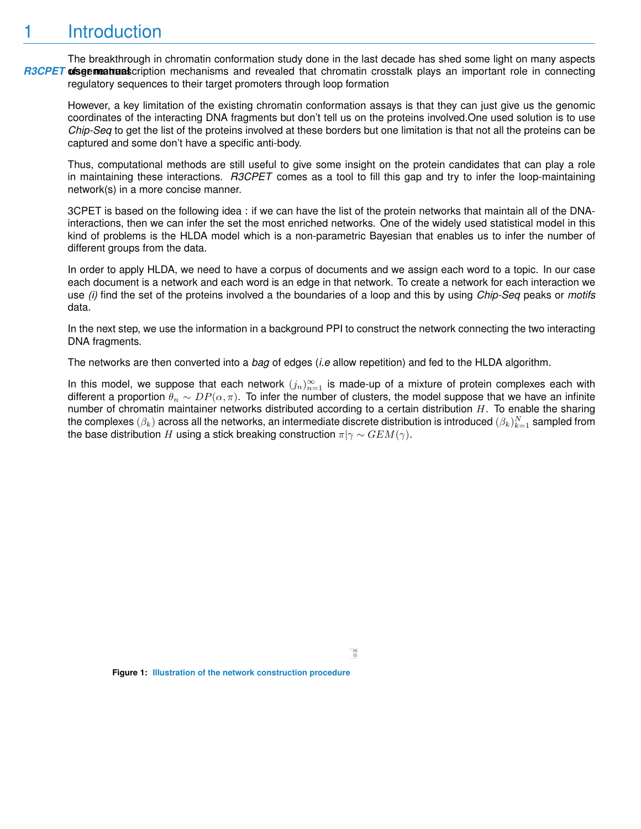## <span id="page-1-0"></span>**Introduction**

[R3CPET](http://bioconductor.org/packages/R3CPET) **uisgemeatrual** cription mechanisms and revealed that chromatin crosstalk plays an important role in connecting The breakthrough in chromatin conformation study done in the last decade has shed some light on many aspects regulatory sequences to their target promoters through loop formation

However, a key limitation of the existing chromatin conformation assays is that they can just give us the genomic coordinates of the interacting DNA fragments but don't tell us on the proteins involved.One used solution is to use *Chip-Seq* to get the list of the proteins involved at these borders but one limitation is that not all the proteins can be captured and some don't have a specific anti-body.

Thus, computational methods are still useful to give some insight on the protein candidates that can play a role in maintaining these interactions. *R3CPET* comes as a tool to fill this gap and try to infer the loop-maintaining network(s) in a more concise manner.

3CPET is based on the following idea : if we can have the list of the protein networks that maintain all of the DNAinteractions, then we can infer the set the most enriched networks. One of the widely used statistical model in this kind of problems is the HLDA model which is a non-parametric Bayesian that enables us to infer the number of different groups from the data.

In order to apply HLDA, we need to have a corpus of documents and we assign each word to a topic. In our case each document is a network and each word is an edge in that network. To create a network for each interaction we use *(i)* find the set of the proteins involved a the boundaries of a loop and this by using *Chip-Seq* peaks or *motifs* data.

In the next step, we use the information in a background PPI to construct the network connecting the two interacting DNA fragments.

The networks are then converted into a *bag* of edges (*i.e* allow repetition) and fed to the HLDA algorithm.

In this model, we suppose that each network  $(j_n)_{n=1}^{\infty}$  is made-up of a mixture of protein complexes each with different a proportion  $\theta_n \sim DP(\alpha, \pi)$ . To infer the number of clusters, the model suppose that we have an infinite number of chromatin maintainer networks distributed according to a certain distribution  $H$ . To enable the sharing the complexes  $(\beta_k)$  across all the networks, an intermediate discrete distribution is introduced  $(\beta_k)_{k=1}^N$  sampled from the base distribution H using a stick breaking construction  $\pi|\gamma \sim GEM(\gamma)$ .

Ħ

**Figure 1: Illustration of the network construction procedure**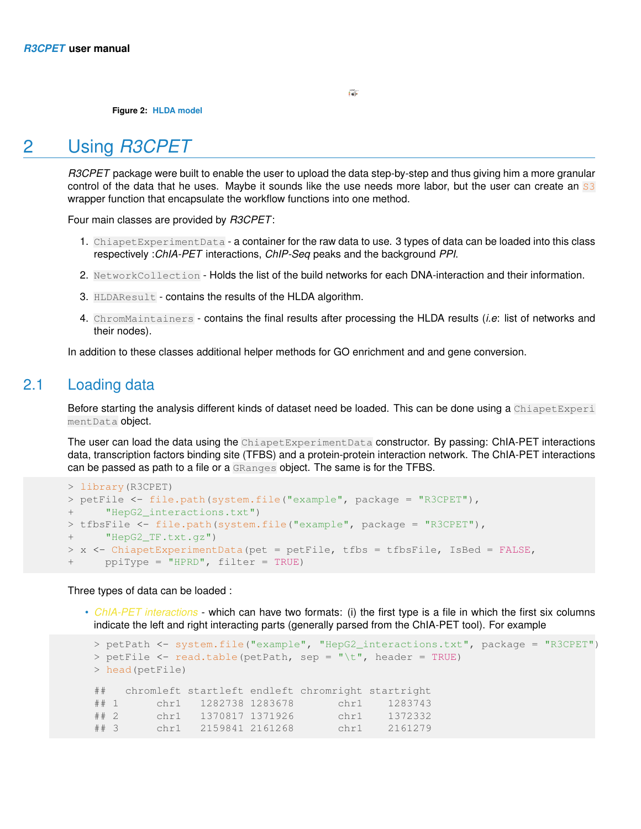**Figure 2: HLDA model**

## 2 Using *R3CPET*

<span id="page-2-0"></span>*R3CPET* package were built to enable the user to upload the data step-by-step and thus giving him a more granular control of the data that he uses. Maybe it sounds like the use needs more labor, but the user can create an S3 wrapper function that encapsulate the workflow functions into one method.

Four main classes are provided by *R3CPET*:

- 1. ChiapetExperimentData a container for the raw data to use. 3 types of data can be loaded into this class respectively :*ChIA-PET* interactions, *ChIP-Seq* peaks and the background *PPI*.
- 2. NetworkCollection Holds the list of the build networks for each DNA-interaction and their information.
- 3. HLDAResult contains the results of the HLDA algorithm.
- 4. ChromMaintainers contains the final results after processing the HLDA results (*i.e*: list of networks and their nodes).

<span id="page-2-1"></span>In addition to these classes additional helper methods for GO enrichment and and gene conversion.

## 2.1 Loading data

Before starting the analysis different kinds of dataset need be loaded. This can be done using a ChiapetExperi mentData object.

The user can load the data using the ChiapetExperimentData constructor. By passing: ChIA-PET interactions data, transcription factors binding site (TFBS) and a protein-protein interaction network. The ChIA-PET interactions can be passed as path to a file or a GRanges object. The same is for the TFBS.

```
> library(R3CPET)
> petFile <- file.path(system.file("example", package = "R3CPET"),
+ "HepG2_interactions.txt")
> tfbsFile <- file.path(system.file("example", package = "R3CPET"),
+ "HepG2_TF.txt.gz")
> x <- ChiapetExperimentData(pet = petFile, tfbs = tfbsFile, IsBed = FALSE,
     ppiType = "HPRD", filter = TRUE)
```
Three types of data can be loaded :

• *ChIA-PET interactions* - which can have two formats: (i) the first type is a file in which the first six columns indicate the left and right interacting parts (generally parsed from the ChIA-PET tool). For example

```
> petPath <- system.file("example", "HepG2_interactions.txt", package = "R3CPET")
> petFile <- read.table(petPath, sep = "\t", header = TRUE)
> head(petFile)
## chromleft startleft endleft chromright startright
## 1 chr1 1282738 1283678 chr1 1283743
## 2 chr1 1370817 1371926 chr1 1372332
## 3 chr1 2159841 2161268 chr1 2161279
```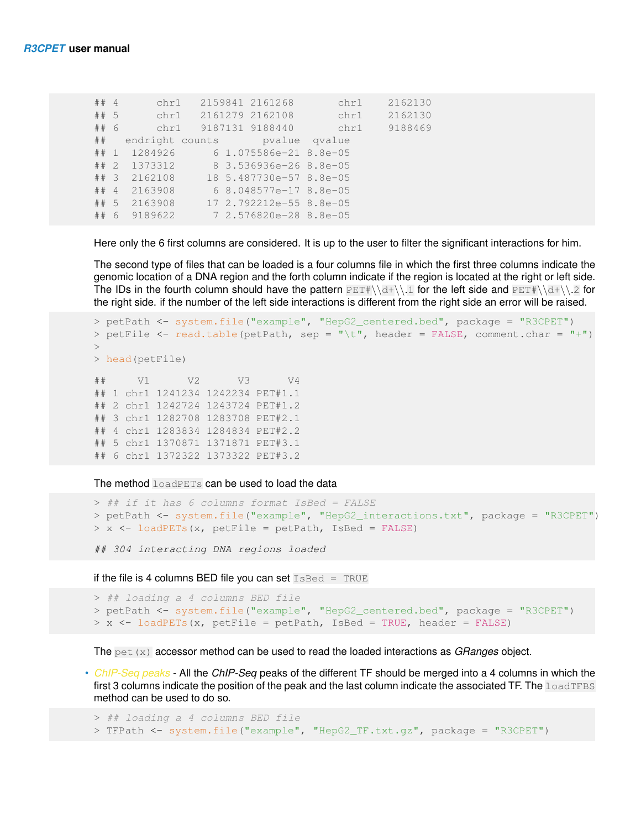| ## 4     |   | chr1                             |  | 2159841 2161268         | chr1 | 2162130 |
|----------|---|----------------------------------|--|-------------------------|------|---------|
| ## 5     |   |                                  |  | chr1 2161279 2162108    | chr1 | 2162130 |
| ## 6     |   | chr1                             |  | 9187131 9188440         | chr1 | 9188469 |
|          |   | ## endright counts byalue qvalue |  |                         |      |         |
|          |   | ## 1 1284926                     |  | 6 1.075586e-21 8.8e-05  |      |         |
|          |   | $\#$ # 2 1373312                 |  | 8 3.536936e-26 8.8e-05  |      |         |
| $##$ 3   |   | 2162108                          |  | 18 5.487730e-57 8.8e-05 |      |         |
| $\#$ # 4 |   | 2163908                          |  | 6 8.048577e-17 8.8e-05  |      |         |
|          |   | ## 5 2163908                     |  | 17 2.792212e-55 8.8e-05 |      |         |
| ##       | 6 | 9189622                          |  | 7 2.576820e-28 8.8e-05  |      |         |
|          |   |                                  |  |                         |      |         |

Here only the 6 first columns are considered. It is up to the user to filter the significant interactions for him.

The second type of files that can be loaded is a four columns file in which the first three columns indicate the genomic location of a DNA region and the forth column indicate if the region is located at the right or left side. The IDs in the fourth column should have the pattern  $PETH\d+ \1$  for the left side and  $PETH\d+ \12$  for the right side. if the number of the left side interactions is different from the right side an error will be raised.

```
> petPath <- system.file("example", "HepG2_centered.bed", package = "R3CPET")
> petFile <- read.table(petPath, sep = "\t", header = FALSE, comment.char = "+")
\rightarrow> head(petFile)
## V1 V2 V3 V4
## 1 chr1 1241234 1242234 PET#1.1
## 2 chr1 1242724 1243724 PET#1.2
## 3 chr1 1282708 1283708 PET#2.1
## 4 chr1 1283834 1284834 PET#2.2
## 5 chr1 1370871 1371871 PET#3.1
## 6 chr1 1372322 1373322 PET#3.2
```
The method loadPETs can be used to load the data

```
> ## if it has 6 columns format IsBed = FALSE
> petPath <- system.file("example", "HepG2_interactions.txt", package = "R3CPET")
> x <- loadPETs(x, petFile = petPath, IsBed = FALSE)
```
## 304 interacting DNA regions loaded

if the file is 4 columns BED file you can set  $I$  s Bed = TRUE

```
> ## loading a 4 columns BED file
> petPath <- system.file("example", "HepG2_centered.bed", package = "R3CPET")
> x <- loadPETs(x, petFile = petPath, IsBed = TRUE, header = FALSE)
```
The pet(x) accessor method can be used to read the loaded interactions as *GRanges* object.

• *ChIP-Seq peaks* - All the *ChIP-Seq* peaks of the different TF should be merged into a 4 columns in which the first 3 columns indicate the position of the peak and the last column indicate the associated TF. The loadTFBS method can be used to do so.

```
> ## loading a 4 columns BED file
> TFPath <- system.file("example", "HepG2_TF.txt.gz", package = "R3CPET")
```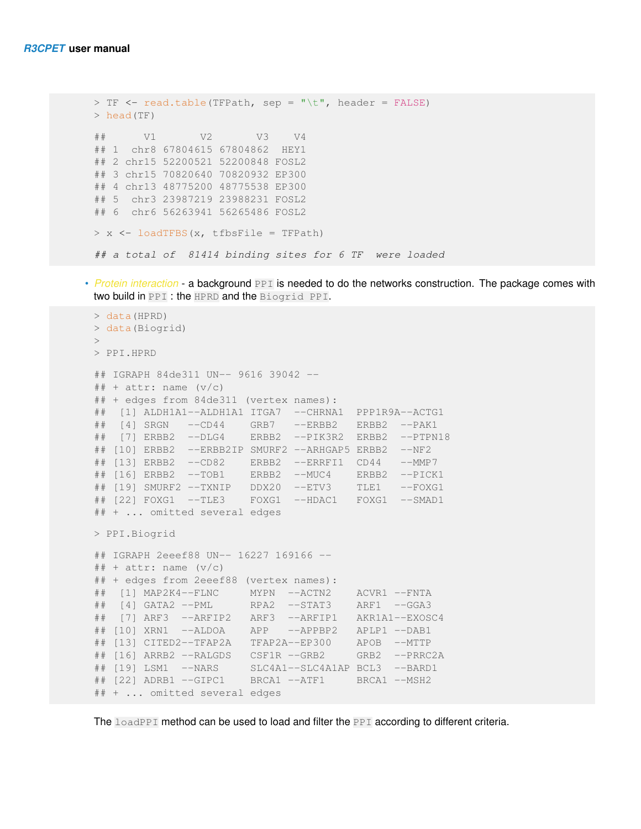```
> TF <- read.table(TFPath, sep = "\t", header = FALSE)
> head(TF)
## V1 V2 V3 V4
## 1 chr8 67804615 67804862 HEY1
## 2 chr15 52200521 52200848 FOSL2
## 3 chr15 70820640 70820932 EP300
## 4 chr13 48775200 48775538 EP300
## 5 chr3 23987219 23988231 FOSL2
## 6 chr6 56263941 56265486 FOSL2
> x <- loadTFBS(x, tfbsFile = TFPath)
## a total of 81414 binding sites for 6 TF were loaded
```
• *Protein interaction* - a background PPI is needed to do the networks construction. The package comes with two build in PPI : the HPRD and the Biogrid PPI.

```
> data(HPRD)
> data(Biogrid)
>
> PPI.HPRD
## IGRAPH 84de311 UN-- 9616 39042 --
\# + attr: name (v/c)## + edges from 84de311 (vertex names):
## [1] ALDH1A1--ALDH1A1 ITGA7 --CHRNA1 PPP1R9A--ACTG1
## [4] SRGN --CD44 GRB7 --ERBB2 ERBB2 --PAK1
## [7] ERBB2 --DLG4 ERBB2 --PIK3R2 ERBB2 --PTPN18
## [10] ERBB2 --ERBB2IP SMURF2 --ARHGAP5 ERBB2 --NF2
## [13] ERBB2 --CD82 ERBB2 --ERRFI1 CD44 --MMP7
## [16] ERBB2 --TOB1 ERBB2 --MUC4 ERBB2 --PICK1
## [19] SMURF2 --TXNIP DDX20 --ETV3 TLE1 --FOXG1
## [22] FOXG1 --TLE3 FOXG1 --HDAC1 FOXG1 --SMAD1
## + ... omitted several edges
> PPI.Biogrid
## IGRAPH 2eeef88 UN-- 16227 169166 --
\# + attr: name (v/c)## + edges from 2eeef88 (vertex names):
## [1] MAP2K4--FLNC MYPN --ACTN2 ACVR1 --FNTA
## [4] GATA2 --PML RPA2 --STAT3 ARF1 --GGA3
## [7] ARF3 --ARFIP2 ARF3 --ARFIP1 AKR1A1--EXOSC4
## [10] XRN1 --ALDOA APP --APPBP2 APLP1 --DAB1
## [13] CITED2--TFAP2A TFAP2A--EP300 APOB --MTTP
## [16] ARRB2 --RALGDS CSF1R --GRB2 GRB2 --PRRC2A
## [19] LSM1 --NARS SLC4A1--SLC4A1AP BCL3 --BARD1
## [22] ADRB1 --GIPC1 BRCA1 --ATF1 BRCA1 --MSH2
## + ... omitted several edges
```
The loadPPI method can be used to load and filter the PPI according to different criteria.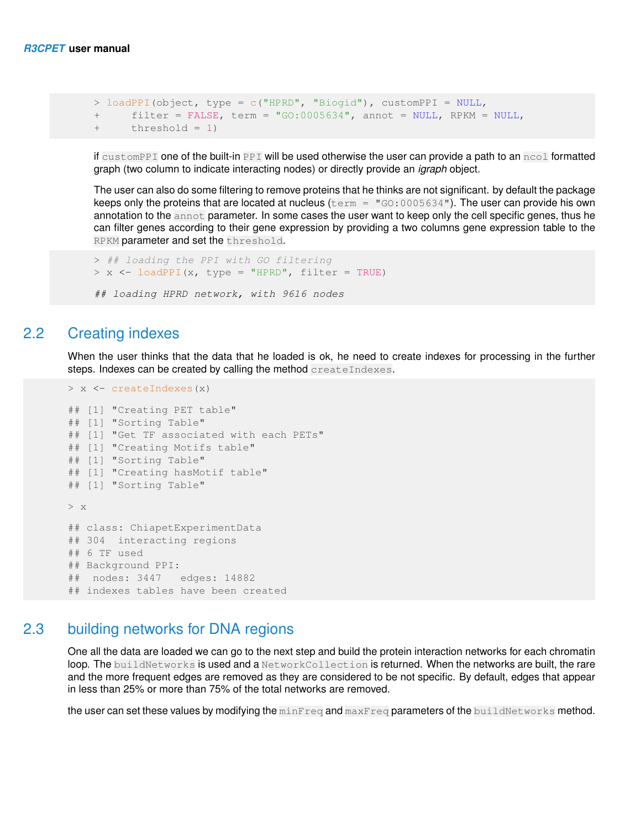```
> loadPPI(object, type = c("HPRD", "Biogid"), customPPI = NULL,+ filter = FALSE, term = "GO:0005634", annot = NULL, RPKM = NULL,
+ threshold = 1)
```
if customPPI one of the built-in PPI will be used otherwise the user can provide a path to an ncol formatted graph (two column to indicate interacting nodes) or directly provide an *igraph* object.

The user can also do some filtering to remove proteins that he thinks are not significant. by default the package keeps only the proteins that are located at nucleus ( $term = "GO:0005634").$  The user can provide his own annotation to the annot parameter. In some cases the user want to keep only the cell specific genes, thus he can filter genes according to their gene expression by providing a two columns gene expression table to the RPKM parameter and set the threshold.

```
> ## loading the PPI with GO filtering
> x <- loadPPI(x, type = "HPRD", filter = TRUE)
```

```
## loading HPRD network, with 9616 nodes
```
### 2.2 Creating indexes

When the user thinks that the data that he loaded is ok, he need to create indexes for processing in the further steps. Indexes can be created by calling the method createIndexes.

```
> x <- createIndexes(x)
## [1] "Creating PET table"
## [1] "Sorting Table"
## [1] "Get TF associated with each PETs"
## [1] "Creating Motifs table"
## [1] "Sorting Table"
## [1] "Creating hasMotif table"
## [1] "Sorting Table"
> x
## class: ChiapetExperimentData
## 304 interacting regions
## 6 TF used
## Background PPI:
## nodes: 3447 edges: 14882
## indexes tables have been created
```
## 2.3 building networks for DNA regions

<span id="page-5-1"></span>One all the data are loaded we can go to the next step and build the protein interaction networks for each chromatin loop. The buildNetworks is used and a NetworkCollection is returned. When the networks are built, the rare and the more frequent edges are removed as they are considered to be not specific. By default, edges that appear in less than 25% or more than 75% of the total networks are removed.

the user can set these values by modifying the minFreq and maxFreq parameters of the buildNetworks method.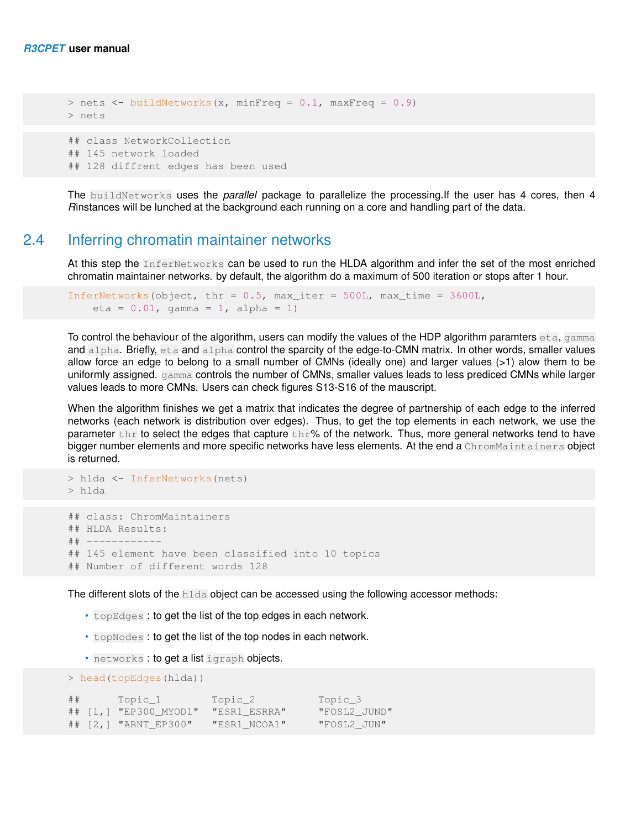```
> nets <- buildNetworks(x, minFreq = 0.1, maxFreq = 0.9)
> nets
## class NetworkCollection
## 145 network loaded
## 128 diffrent edges has been used
```
<span id="page-6-0"></span>The buildNetworks uses the *parallel* package to parallelize the processing.If the user has 4 cores, then 4 *R*instances will be lunched at the background each running on a core and handling part of the data.

## 2.4 Inferring chromatin maintainer networks

At this step the InferNetworks can be used to run the HLDA algorithm and infer the set of the most enriched chromatin maintainer networks. by default, the algorithm do a maximum of 500 iteration or stops after 1 hour.

```
InferNetworks(object, thr = 0.5, max_iter = 500L, max_time = 3600L,
   eta = 0.01, gamma = 1, alpha = 1)
```
To control the behaviour of the algorithm, users can modify the values of the HDP algorithm paramters eta, gamma and alpha. Briefly, eta and alpha control the sparcity of the edge-to-CMN matrix. In other words, smaller values allow force an edge to belong to a small number of CMNs (ideally one) and larger values (>1) alow them to be uniformly assigned. gamma controls the number of CMNs, smaller values leads to less prediced CMNs while larger values leads to more CMNs. Users can check figures S13-S16 of the mauscript.

When the algorithm finishes we get a matrix that indicates the degree of partnership of each edge to the inferred networks (each network is distribution over edges). Thus, to get the top elements in each network, we use the parameter the to select the edges that capture the  $\frac{1}{2}$  of the network. Thus, more general networks tend to have bigger number elements and more specific networks have less elements. At the end a ChromMaintainers object is returned.

```
> hlda
## class: ChromMaintainers
## HLDA Results:
## ------------
## 145 element have been classified into 10 topics
## Number of different words 128
```
The different slots of the hlda object can be accessed using the following accessor methods:

- topEdges : to get the list of the top edges in each network.
- topNodes : to get the list of the top nodes in each network.
- networks : to get a list igraph objects.

> hlda <- InferNetworks(nets)

```
> head(topEdges(hlda))
## Topic_1 Topic_2 Topic_3
## [1,] "EP300_MYOD1" "ESR1_ESRRA" "FOSL2_JUND"
## [2,] "ARNT_EP300" "ESR1_NCOA1" "FOSL2_JUN"
```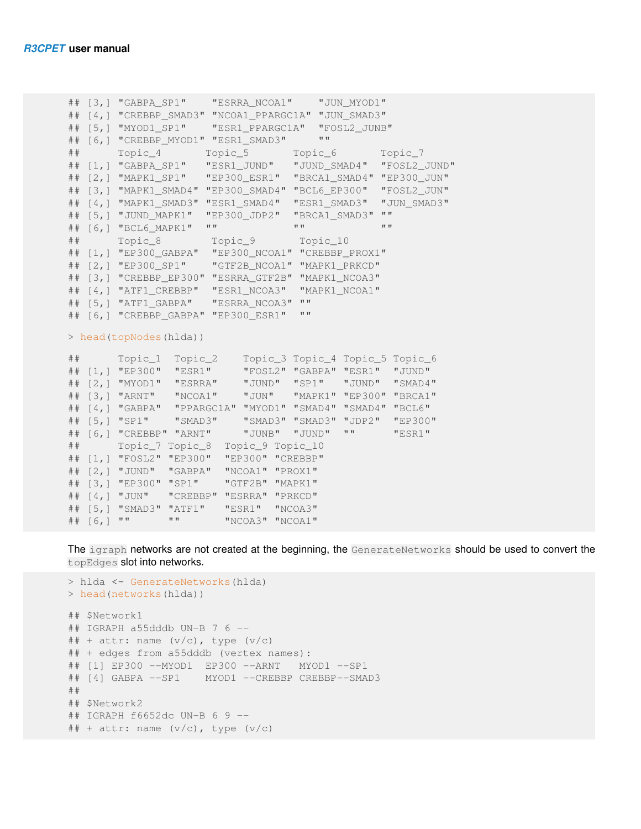```
## [3,] "GABPA_SP1" "ESRRA_NCOA1" "JUN_MYOD1"
## [4,] "CREBBP_SMAD3" "NCOA1_PPARGC1A" "JUN_SMAD3"
## [5,] "MYOD1_SP1" "ESR1_PPARGC1A" "FOSL2_JUNB"
## [6,] "CREBBP_MYOD1" "ESR1_SMAD3" ""
## Topic_4 Topic_5 Topic_6 Topic_7
## [1,] "GABPA_SP1" "ESR1_JUND" "JUND_SMAD4" "FOSL2_JUND"
## [2,] "MAPK1_SP1" "EP300_ESR1" "BRCA1_SMAD4" "EP300_JUN"
## [3,] "MAPK1_SMAD4" "EP300_SMAD4" "BCL6_EP300" "FOSL2_JUN"
## [4,] "MAPK1_SMAD3" "ESR1_SMAD4" "ESR1_SMAD3" "JUN_SMAD3"
## [5,] "JUND_MAPK1" "EP300_JDP2" "BRCA1_SMAD3" ""
## [6,] "BCL6_MAPK1" "" "" ""
## Topic_8 Topic_9 Topic_10
## [1,] "EP300_GABPA" "EP300_NCOA1" "CREBBP_PROX1"
## [2,] "EP300_SP1" "GTF2B_NCOA1" "MAPK1_PRKCD"
## [3,] "CREBBP_EP300" "ESRRA_GTF2B" "MAPK1_NCOA3"
## [4,] "ATF1 CREBBP" "ESR1 NCOA3" "MAPK1 NCOA1"
## [5,] "ATF1_GABPA" "ESRRA_NCOA3" ""
## [6,] "CREBBP_GABPA" "EP300_ESR1" ""
> head(topNodes(hlda))
## Topic_1 Topic_2 Topic_3 Topic_4 Topic_5 Topic_6
## [1,] "EP300" "ESR1" "FOSL2" "GABPA" "ESR1" "JUND"
## [2,] "MYOD1" "ESRRA" "JUND" "SP1" "JUND" "SMAD4"
## [3,] "ARNT" "NCOA1" "JUN" "MAPK1" "EP300" "BRCA1"
## [4,] "GABPA" "PPARGC1A" "MYOD1" "SMAD4" "SMAD4" "BCL6"
## [5,] "SP1" "SMAD3" "SMAD3" "SMAD3" "JDP2" "EP300"
## [6,] "CREBBP" "ARNT" "JUNB" "JUND" "" "ESR1"
## Topic_7 Topic_8 Topic_9 Topic_10
## [1,] "FOSL2" "EP300" "EP300" "CREBBP"
## [2,] "JUND" "GABPA" "NCOA1" "PROX1"
## [3,] "EP300" "SP1" "GTF2B" "MAPK1"
## [4,] "JUN" "CREBBP" "ESRRA" "PRKCD"
## [5,] "SMAD3" "ATF1" "ESR1" "NCOA3"
## [6,] "" "" "NCOA3" "NCOA1"
```
The igraph networks are not created at the beginning, the GenerateNetworks should be used to convert the topEdges slot into networks.

```
> hlda <- GenerateNetworks(hlda)
> head(networks(hlda))
## $Network1
## IGRAPH a55dddb UN-B 7 6 --
\#\# + attr: name (v/c), type (v/c)
## + edges from a55dddb (vertex names):
## [1] EP300 --MYOD1 EP300 --ARNT MYOD1 --SP1
## [4] GABPA --SP1 MYOD1 --CREBBP CREBBP--SMAD3
##
## $Network2
## IGRAPH f6652dc UN-B 6 9 --
\# + attr: name (v/c), type (v/c)
```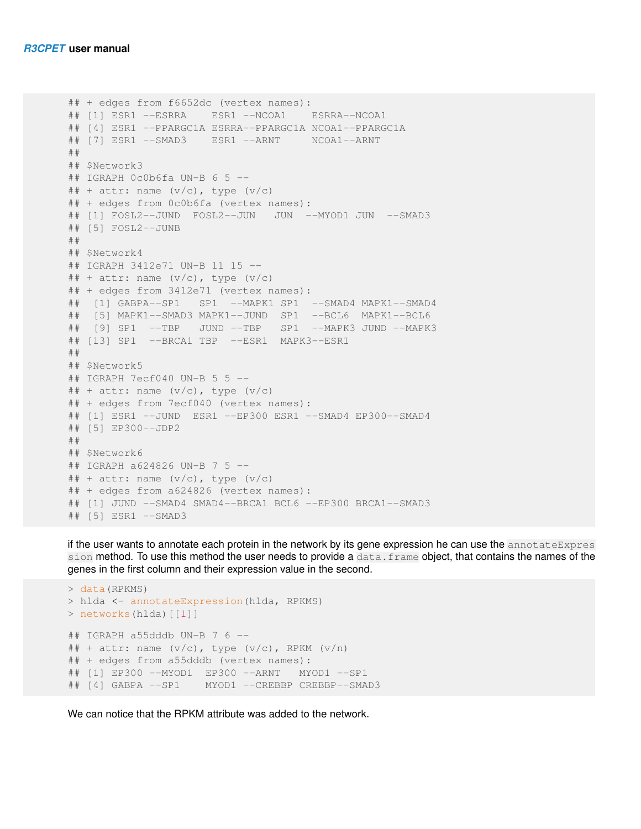```
## + edges from f6652dc (vertex names):
## [1] ESR1 --ESRRA ESR1 --NCOA1 ESRRA--NCOA1
## [4] ESR1 --PPARGC1A ESRRA--PPARGC1A NCOA1--PPARGC1A
## [7] ESR1 --SMAD3 ESR1 --ARNT NCOA1--ARNT
##
## $Network3
## IGRAPH 0c0b6fa UN-B 6 5 --
\# + attr: name (v/c), type (v/c)
## + edges from 0c0b6fa (vertex names):
## [1] FOSL2--JUND FOSL2--JUN JUN --MYOD1 JUN --SMAD3
## [5] FOSL2--JUNB
##
## $Network4
## IGRAPH 3412e71 UN-B 11 15 --
## + attr: name (v/c), type (v/c)## + edges from 3412e71 (vertex names):
## [1] GABPA--SP1 SP1 --MAPK1 SP1 --SMAD4 MAPK1--SMAD4
## [5] MAPK1--SMAD3 MAPK1--JUND SP1 --BCL6 MAPK1--BCL6
## [9] SP1 --TBP JUND --TBP SP1 --MAPK3 JUND --MAPK3
## [13] SP1 --BRCA1 TBP --ESR1 MAPK3--ESR1
##
## $Network5
## IGRAPH 7ecf040 UN-B 5 5 --
## + attr: name (v/c), type (v/c)## + edges from 7ecf040 (vertex names):
## [1] ESR1 --JUND ESR1 --EP300 ESR1 --SMAD4 EP300--SMAD4
## [5] EP300--JDP2
##
## $Network6
## IGRAPH a624826 UN-B 7 5 --
\#\# + attr: name (v/c), type (v/c)
## + edges from a624826 (vertex names):
## [1] JUND --SMAD4 SMAD4--BRCA1 BCL6 --EP300 BRCA1--SMAD3
## [5] ESR1 --SMAD3
```
if the user wants to annotate each protein in the network by its gene expression he can use the annotateExpres sion method. To use this method the user needs to provide a data. frame object, that contains the names of the genes in the first column and their expression value in the second.

```
> data(RPKMS)
> hlda <- annotateExpression(hlda, RPKMS)
> networks(hlda)[[1]]
## IGRAPH a55dddb UN-B 7 6 --
## + attr: name (v/c), type (v/c), RPKM (v/n)## + edges from a55dddb (vertex names):
## [1] EP300 --MYOD1 EP300 --ARNT MYOD1 --SP1
## [4] GABPA --SP1 MYOD1 --CREBBP CREBBP--SMAD3
```
<span id="page-8-0"></span>We can notice that the RPKM attribute was added to the network.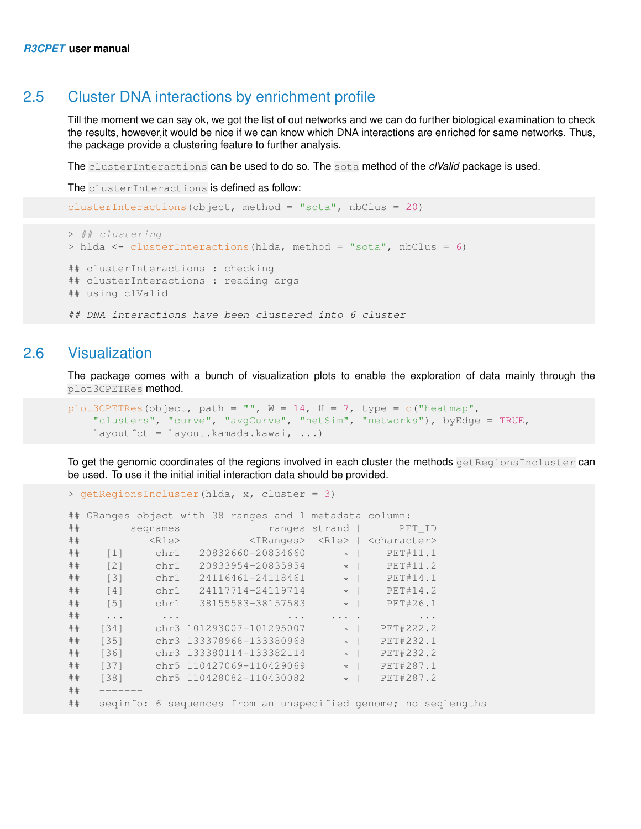### 2.5 Cluster DNA interactions by enrichment profile

Till the moment we can say ok, we got the list of out networks and we can do further biological examination to check the results, however,it would be nice if we can know which DNA interactions are enriched for same networks. Thus, the package provide a clustering feature to further analysis.

The clusterInteractions can be used to do so. The sota method of the *clValid* package is used.

The clusterInteractions is defined as follow:

```
clusterInteractions(object, method = "sota", nbClus = 20)
> ## clustering
> hlda <- clusterInteractions(hlda, method = "sota", nbClus = 6)
## clusterInteractions : checking
## clusterInteractions : reading args
## using clValid
## DNA interactions have been clustered into 6 cluster
```
### 2.6 Visualization

<span id="page-9-0"></span>The package comes with a bunch of visualization plots to enable the exploration of data mainly through the plot3CPETRes method.

```
plot3CPETRes(object, path = "", W = 14, H = 7, type = c("heatmap",
   "clusters", "curve", "avgCurve", "netSim", "networks"), byEdge = TRUE,
   layoutfct = layout.kamada.kawai, ...)
```
To get the genomic coordinates of the regions involved in each cluster the methods getRegionsIncluster can be used. To use it the initial initial interaction data should be provided.

```
> getRegionsIncluster(hlda, x, cluster = 3)
## GRanges object with 38 ranges and 1 metadata column:
                        ranges strand | PET_ID
## <Rle> <IRanges> <Rle> | <character>
## [1] chr1 20832660-20834660 * | PET#11.1
## [2] chr1 20833954-20835954 * | PET#11.2
## [3] chr1 24116461-24118461 * | PET#14.1
## [4] chr1 24117714-24119714 * | PET#14.2
## [5] chr1 38155583-38157583 * | PET#26.1
## ... ...<br>## [34] chr3 101293007-101295007 * | PET#222.2
## [34] chr3 101293007-101295007 * | PET#222.2
## [35] chr3 133378968-133380968 * | PET#232.1<br>## [36] chr3 133380114-133382114 * | PET#232.2
          chr3 133380114-133382114
## [37] chr5 110427069-110429069 * | PET#287.1
## [38] chr5 110428082-110430082 * | PET#287.2
#### seqinfo: 6 sequences from an unspecified genome; no seqlengths
```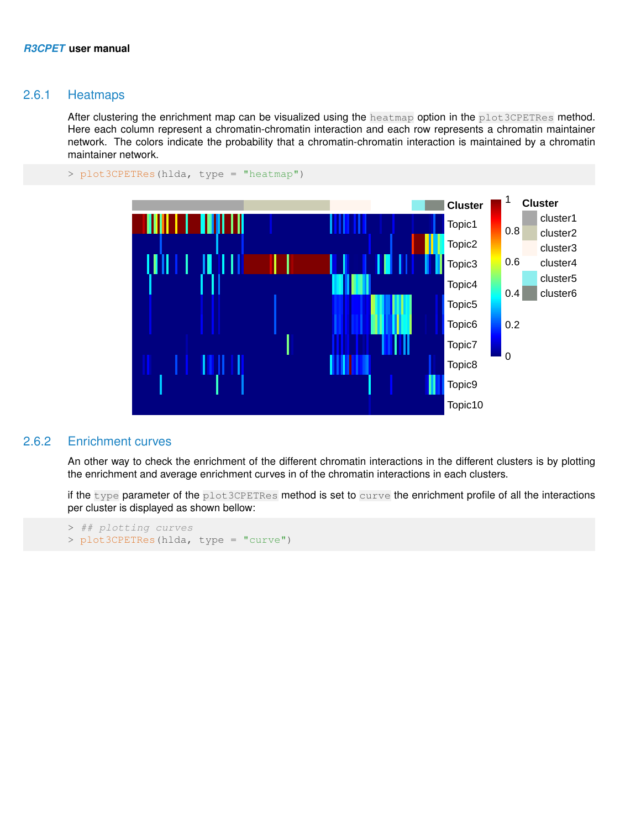#### 2.6.1 Heatmaps

After clustering the enrichment map can be visualized using the heatmap option in the plot3CPETRes method. Here each column represent a chromatin-chromatin interaction and each row represents a chromatin maintainer network. The colors indicate the probability that a chromatin-chromatin interaction is maintained by a chromatin maintainer network.



> plot3CPETRes(hlda, type = "heatmap")

#### 2.6.2 Enrichment curves

<span id="page-10-0"></span>An other way to check the enrichment of the different chromatin interactions in the different clusters is by plotting the enrichment and average enrichment curves in of the chromatin interactions in each clusters.

if the type parameter of the plot3CPETRes method is set to curve the enrichment profile of all the interactions per cluster is displayed as shown bellow:

```
> ## plotting curves
> plot3CPETRes(hlda, type = "curve")
```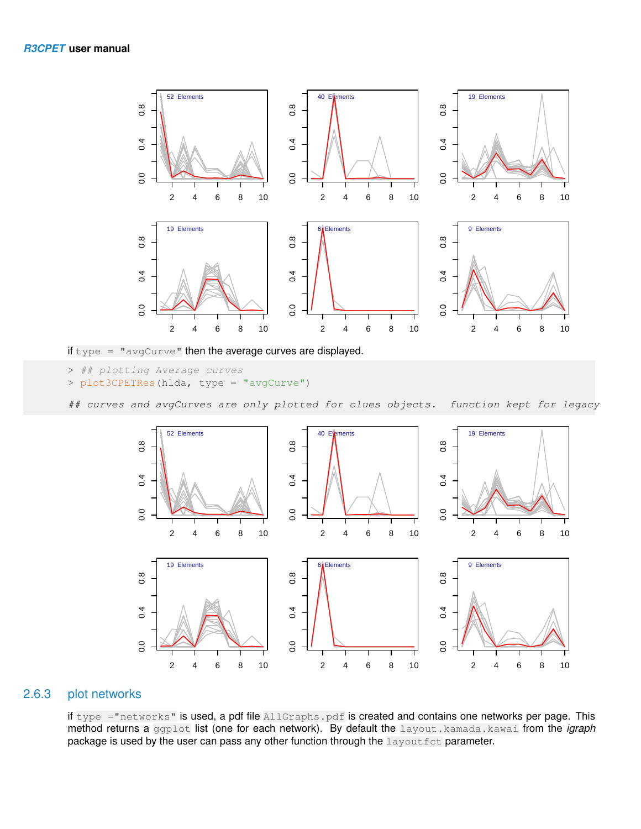

if type  $=$  "avgCurve" then the average curves are displayed.

```
> ## plotting Average curves
> plot3CPETRes(hlda, type = "avgCurve")
```
## curves and avgCurves are only plotted for clues objects. function kept for legacy



#### 2.6.3 plot networks

<span id="page-11-0"></span>if type ="networks" is used, a pdf file AllGraphs.pdf is created and contains one networks per page. This method returns a ggplot list (one for each network). By default the layout.kamada.kawai from the *igraph* package is used by the user can pass any other function through the layout fet parameter.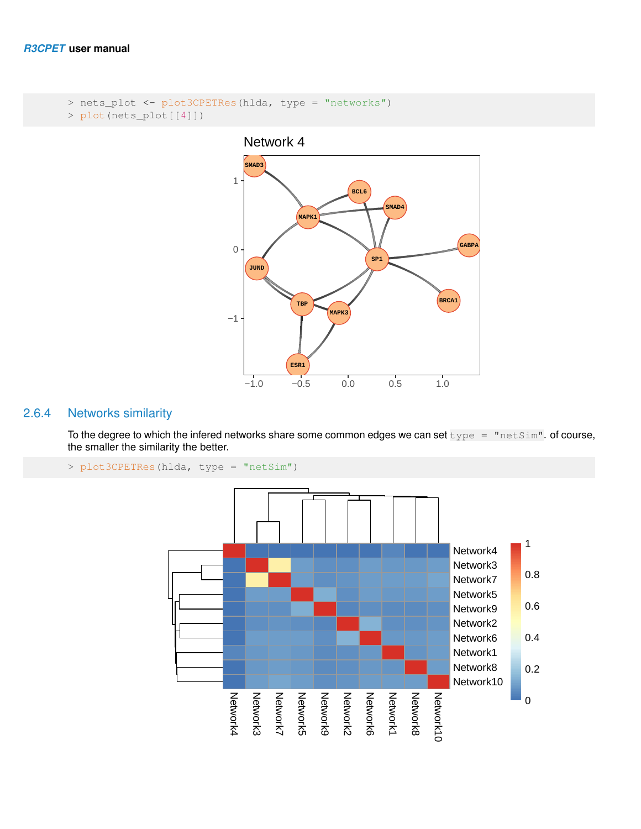```
> nets_plot <- plot3CPETRes(hlda, type = "networks")
> plot(nets_plot[[4]])
```


#### 2.6.4 Networks similarity

<span id="page-12-0"></span>To the degree to which the infered networks share some common edges we can set  $type =$  "netSim". of course, the smaller the similarity the better.

```
> plot3CPETRes(hlda, type = "netSim")
```
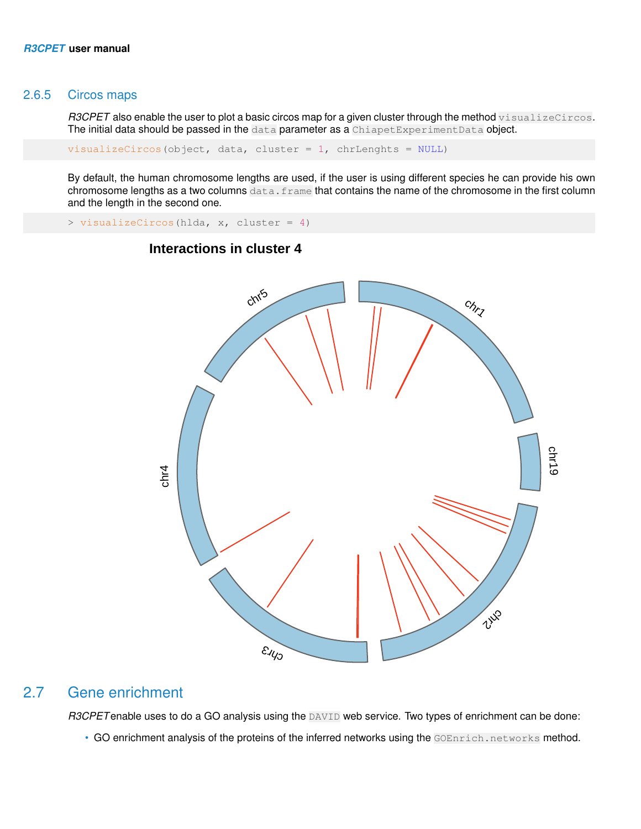#### 2.6.5 Circos maps

*R3CPET* also enable the user to plot a basic circos map for a given cluster through the method visualizeCircos. The initial data should be passed in the data parameter as a ChiapetExperimentData object.

 $visualizeCircos(object, data, cluster = 1, chrLengthts = NULL)$ 

By default, the human chromosome lengths are used, if the user is using different species he can provide his own chromosome lengths as a two columns data. frame that contains the name of the chromosome in the first column and the length in the second one.

> visualizeCircos(hlda, x, cluster = 4)



### **Interactions in cluster 4**

### 2.7 Gene enrichment

<span id="page-13-0"></span>*R3CPET* enable uses to do a GO analysis using the **DAVID** web service. Two types of enrichment can be done:

• GO enrichment analysis of the proteins of the inferred networks using the GOEnrich.networks method.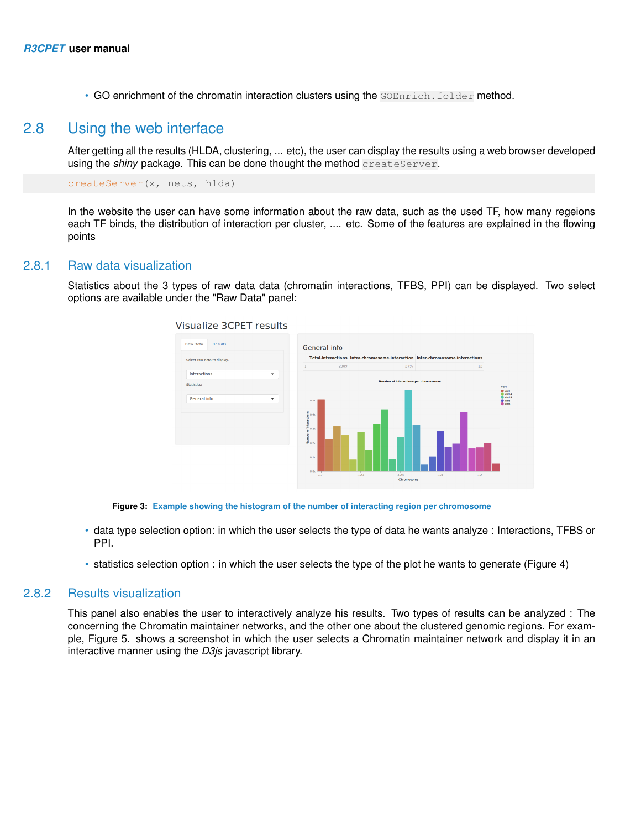<span id="page-14-0"></span>• GO enrichment of the chromatin interaction clusters using the GOEnrich.folder method.

#### 2.8 Using the web interface

After getting all the results (HLDA, clustering, ... etc), the user can display the results using a web browser developed using the *shiny* package. This can be done thought the method createServer.

createServer(x, nets, hlda)

<span id="page-14-1"></span>In the website the user can have some information about the raw data, such as the used TF, how many regeions each TF binds, the distribution of interaction per cluster, .... etc. Some of the features are explained in the flowing points

#### 2.8.1 Raw data visualization

Statistics about the 3 types of raw data data (chromatin interactions, TFBS, PPI) can be displayed. Two select options are available under the "Raw Data" panel:



**Visualize 3CPET results** 

**Figure 3: Example showing the histogram of the number of interacting region per chromosome**

- data type selection option: in which the user selects the type of data he wants analyze : Interactions, TFBS or PPI.
- <span id="page-14-2"></span>• statistics selection option : in which the user selects the type of the plot he wants to generate (Figure 4)

#### 2.8.2 Results visualization

This panel also enables the user to interactively analyze his results. Two types of results can be analyzed : The concerning the Chromatin maintainer networks, and the other one about the clustered genomic regions. For example, Figure 5. shows a screenshot in which the user selects a Chromatin maintainer network and display it in an interactive manner using the *D3js* javascript library.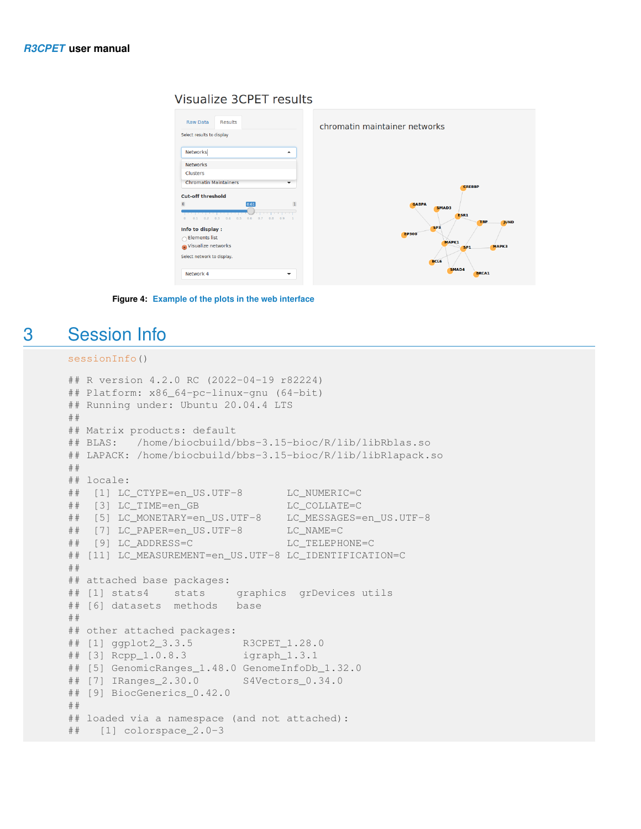#### **Visualize 3CPET results**



**Figure 4: Example of the plots in the web interface**

## 3 Session Info

#### <span id="page-15-0"></span>sessionInfo()

```
## R version 4.2.0 RC (2022-04-19 r82224)
## Platform: x86_64-pc-linux-gnu (64-bit)
## Running under: Ubuntu 20.04.4 LTS
##
## Matrix products: default
## BLAS: /home/biocbuild/bbs-3.15-bioc/R/lib/libRblas.so
## LAPACK: /home/biocbuild/bbs-3.15-bioc/R/lib/libRlapack.so
##
## locale:
## [1] LC_CTYPE=en_US.UTF-8 LC_NUMERIC=C
## [3] LC_TIME=en_GB LC_COLLATE=C
## [5] LC_MONETARY=en_US.UTF-8 LC_MESSAGES=en_US.UTF-8
## [7] LC_PAPER=en_US.UTF-8 LC_NAME=C
## [9] LC_ADDRESS=C LC_TELEPHONE=C
## [11] LC MEASUREMENT=en US.UTF-8 LC IDENTIFICATION=C
##
## attached base packages:
## [1] stats4 stats graphics grDevices utils
## [6] datasets methods base
##
## other attached packages:
## [1] ggplot2_3.3.5 R3CPET_1.28.0
## [3] Rcpp_1.0.8.3 igraph_1.3.1
## [5] GenomicRanges_1.48.0 GenomeInfoDb_1.32.0
## [7] IRanges_2.30.0 S4Vectors_0.34.0
## [9] BiocGenerics_0.42.0
##
## loaded via a namespace (and not attached):
## [1] colorspace_2.0-3
```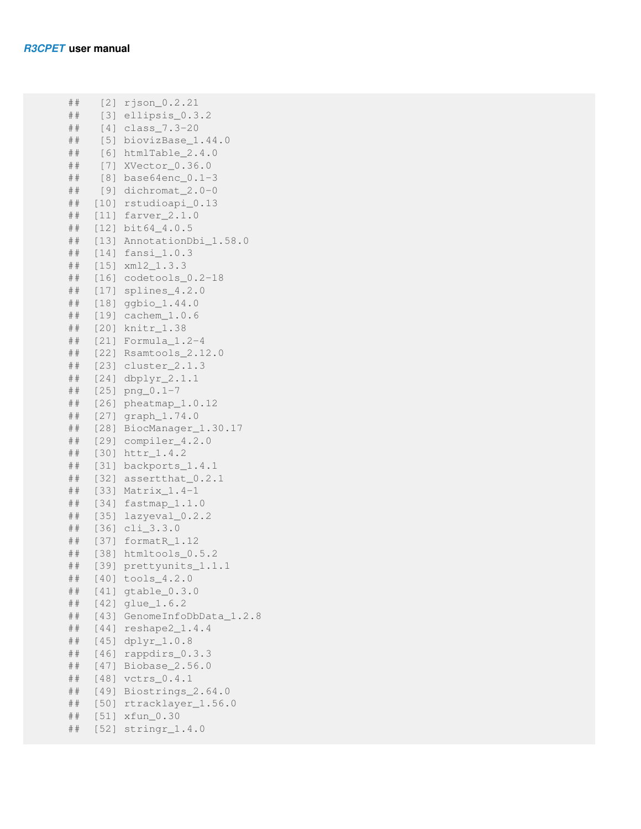```
## [2] rjson_0.2.21
## [3] ellipsis_0.3.2
## [4] class_7.3-20
## [5] biovizBase_1.44.0
## [6] htmlTable_2.4.0
## [7] XVector_0.36.0
## [8] base64enc_0.1-3
## [9] dichromat_2.0-0
## [10] rstudioapi_0.13
## [11] farver_2.1.0
## [12] bit64_4.0.5
## [13] AnnotationDbi_1.58.0
## [14] fansi_1.0.3
## [15] xml2_1.3.3
## [16] codetools_0.2-18
## [17] splines_4.2.0
## [18] ggbio_1.44.0
## [19] cachem_1.0.6
## [20] knitr_1.38
## [21] Formula_1.2-4
## [22] Rsamtools_2.12.0
## [23] cluster_2.1.3
## [24] dbplyr_2.1.1
## [25] png_0.1-7
## [26] pheatmap_1.0.12
## [27] graph_1.74.0
## [28] BiocManager_1.30.17
## [29] compiler_4.2.0
## [30] httr_1.4.2
## [31] backports_1.4.1
## [32] assertthat_0.2.1
## [33] Matrix_1.4-1
## [34] fastmap_1.1.0
## [35] lazyeval_0.2.2
## [36] cli_3.3.0
## [37] formatR_1.12
## [38] htmltools_0.5.2
## [39] prettyunits_1.1.1
## [40] tools_4.2.0
## [41] gtable_0.3.0
## [42] glue_1.6.2
## [43] GenomeInfoDbData_1.2.8
## [44] reshape2_1.4.4
## [45] dplyr_1.0.8
## [46] rappdirs_0.3.3
## [47] Biobase_2.56.0
## [48] vctrs_0.4.1
## [49] Biostrings_2.64.0
## [50] rtracklayer_1.56.0
## [51] xfun_0.30
## [52] stringr_1.4.0
```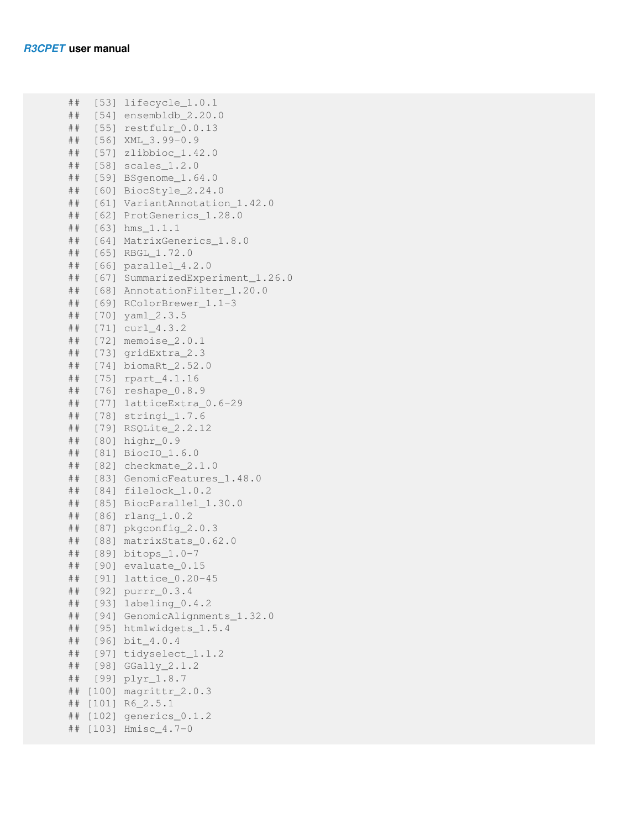```
## [53] lifecycle_1.0.1
## [54] ensembldb_2.20.0
## [55] restfulr_0.0.13
## [56] XML_3.99-0.9
## [57] zlibbioc_1.42.0
## [58] scales_1.2.0
## [59] BSgenome_1.64.0
## [60] BiocStyle_2.24.0
## [61] VariantAnnotation_1.42.0
## [62] ProtGenerics_1.28.0
## [63] hms_1.1.1
## [64] MatrixGenerics_1.8.0
## [65] RBGL_1.72.0
## [66] parallel_4.2.0
## [67] SummarizedExperiment_1.26.0
## [68] AnnotationFilter_1.20.0
## [69] RColorBrewer_1.1-3
## [70] yaml_2.3.5
## [71] curl_4.3.2
## [72] memoise_2.0.1
## [73] gridExtra_2.3
## [74] biomaRt_2.52.0
## [75] rpart_4.1.16
## [76] reshape_0.8.9
## [77] latticeExtra_0.6-29
## [78] stringi_1.7.6
## [79] RSQLite_2.2.12
## [80] highr_0.9
## [81] BiocIO_1.6.0
## [82] checkmate_2.1.0
## [83] GenomicFeatures_1.48.0
## [84] filelock_1.0.2
## [85] BiocParallel_1.30.0
## [86] rlang_1.0.2
## [87] pkgconfig_2.0.3
## [88] matrixStats_0.62.0
## [89] bitops_1.0-7
## [90] evaluate_0.15
## [91] lattice_0.20-45
## [92] purrr_0.3.4
## [93] labeling_0.4.2
## [94] GenomicAlignments_1.32.0
## [95] htmlwidgets_1.5.4
## [96] bit_4.0.4
## [97] tidyselect_1.1.2
## [98] GGally_2.1.2
## [99] plyr_1.8.7
## [100] magrittr_2.0.3
## [101] R6_2.5.1
## [102] generics_0.1.2
## [103] Hmisc_4.7-0
```